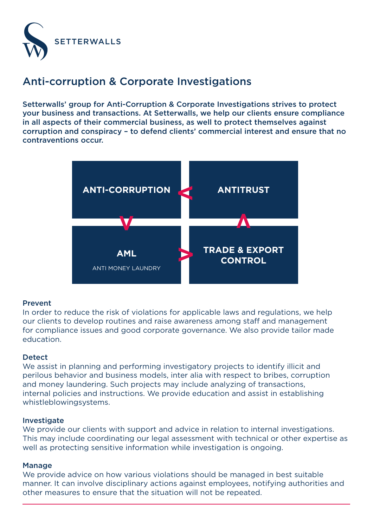

## Anti-corruption & Corporate Investigations

Setterwalls' group for Anti-Corruption & Corporate Investigations strives to protect your business and transactions. At Setterwalls, we help our clients ensure compliance in all aspects of their commercial business, as well to protect themselves against corruption and conspiracy – to defend clients' commercial interest and ensure that no contraventions occur.



### Prevent

In order to reduce the risk of violations for applicable laws and regulations, we help our clients to develop routines and raise awareness among staff and management for compliance issues and good corporate governance. We also provide tailor made education.

#### **Detect**

We assist in planning and performing investigatory projects to identify illicit and perilous behavior and business models, inter alia with respect to bribes, corruption and money laundering. Such projects may include analyzing of transactions, internal policies and instructions. We provide education and assist in establishing whistleblowingsystems.

#### Investigate

We provide our clients with support and advice in relation to internal investigations. This may include coordinating our legal assessment with technical or other expertise as well as protecting sensitive information while investigation is ongoing.

#### Manage

We provide advice on how various violations should be managed in best suitable manner. It can involve disciplinary actions against employees, notifying authorities and other measures to ensure that the situation will not be repeated.